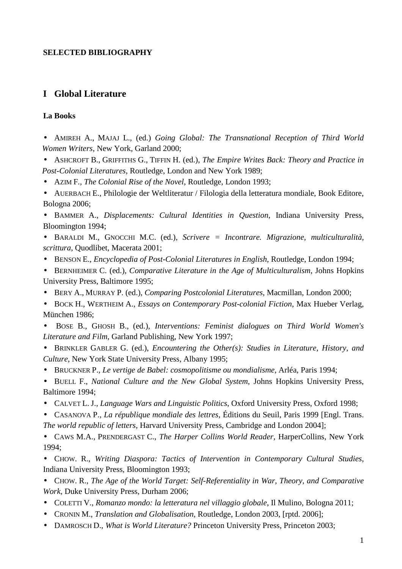### **SELECTED BIBLIOGRAPHY**

## **I Global Literature**

#### **I.a Books**

• AMIREH A., MAJAJ L., (ed.) *Going Global: The Transnational Reception of Third World Women Writers*, New York, Garland 2000;

• ASHCROFT B., GRIFFITHS G., TIFFIN H. (ed.), *The Empire Writes Back: Theory and Practice in Post-Colonial Literatures*, Routledge, London and New York 1989;

• AZIM F*., The Colonial Rise of the Novel*, Routledge, London 1993;

• AUERBACH E., Philologie der Weltliteratur / Filologia della letteratura mondiale, Book Editore, Bologna 2006;

• BAMMER A., *Displacements: Cultural Identities in Question*, Indiana University Press, Bloomington 1994;

- BARALDI M., GNOCCHI M.C. (ed.), *Scrivere = Incontrare. Migrazione, multiculturalità, scrittura*, Quodlibet, Macerata 2001;
- BENSON E., *Encyclopedia of Post-Colonial Literatures in English*, Routledge, London 1994;
- BERNHEIMER C. (ed.), *Comparative Literature in the Age of Multiculturalism*, Johns Hopkins University Press, Baltimore 1995;
- BERY A., MURRAY P. (ed.), *Comparing Postcolonial Literatures*, Macmillan, London 2000;
- BOCK H., WERTHEIM A., *Essays on Contemporary Post-colonial Fiction*, Max Hueber Verlag, München 1986;

• BOSE B., GHOSH B., (ed.), *Interventions: Feminist dialogues on Third World Women's Literature and Film*, Garland Publishing, New York 1997;

• BRINKLER GABLER G. (ed.), *Encountering the Other(s): Studies in Literature, History, and Culture*, New York State University Press, Albany 1995;

- BRUCKNER P., *Le vertige de Babel: cosmopolitisme ou mondialisme*, Arléa, Paris 1994;
- BUELL F., *National Culture and the New Global System*, Johns Hopkins University Press, Baltimore 1994;
- CALVET L. J., *Language Wars and Linguistic Politics*, Oxford University Press, Oxford 1998;
- CASANOVA P., *La république mondiale des lettres*, Éditions du Seuil, Paris 1999 [Engl. Trans. *The world republic of letters*, Harvard University Press, Cambridge and London 2004];
- CAWS M.A., PRENDERGAST C., *The Harper Collins World Reader*, HarperCollins, New York 1994;
- CHOW. R., *Writing Diaspora: Tactics of Intervention in Contemporary Cultural Studies*, Indiana University Press, Bloomington 1993;
- CHOW. R., *The Age of the World Target: Self-Referentiality in War, Theory, and Comparative Work*, Duke University Press, Durham 2006;
- COLETTI V., *Romanzo mondo: la letteratura nel villaggio globale*, Il Mulino, Bologna 2011;
- CRONIN M., *Translation and Globalisation*, Routledge, London 2003, [rptd. 2006];
- DAMROSCH D., *What is World Literature?* Princeton University Press, Princeton 2003;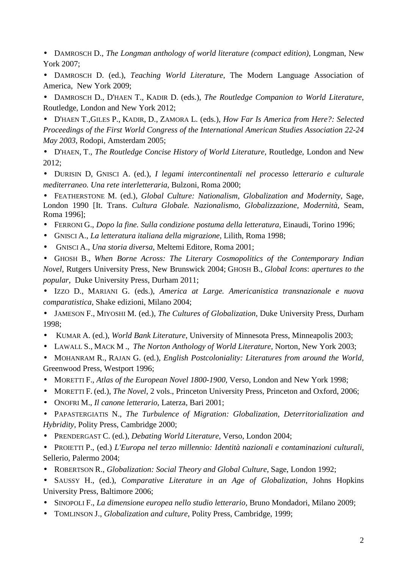• DAMROSCH D., *The Longman anthology of world literature (compact edition)*, Longman, New York 2007;

• DAMROSCH D. (ed.), *Teaching World Literature*, The Modern Language Association of America, New York 2009;

• DAMROSCH D., D'HAEN T., KADIR D. (eds.), *The Routledge Companion to World Literature*, Routledge, London and New York 2012;

• D'HAEN T.,GILES P., KADIR, D., ZAMORA L. (eds.), *How Far Is America from Here?: Selected Proceedings of the First World Congress of the International American Studies Association 22-24 May 2003*, Rodopi, Amsterdam 2005;

• D'HAEN, T., *The Routledge Concise History of World Literature*, Routledge, London and New 2012;

• DURISIN D, GNISCI A. (ed.), *I legami intercontinentali nel processo letterario e culturale mediterraneo. Una rete interletteraria*, Bulzoni, Roma 2000;

• FEATHERSTONE M. (ed.), *Global Culture: Nationalism, Globalization and Modernity*, Sage, London 1990 [It. Trans. *Cultura Globale. Nazionalismo, Globalizzazione, Modernità,* Seam, Roma 1996];

- FERRONI G., *Dopo la fine. Sulla condizione postuma della letteratura*, Einaudi, Torino 1996;
- GNISCI A., *La letteratura italiana della migrazione*, Lilith, Roma 1998;
- GNISCI A., *Una storia diversa*, Meltemi Editore, Roma 2001;

• GHOSH B., *When Borne Across: The Literary Cosmopolitics of the Contemporary Indian Novel*, Rutgers University Press, New Brunswick 2004; GHOSH B., *Global Icons*: *apertures to the popular*, Duke University Press, Durham 2011;

• IZZO D., MARIANI G. (eds.), *America at Large. Americanistica transnazionale e nuova comparatistica*, Shake edizioni, Milano 2004;

• JAMESON F., MIYOSHI M. (ed.), *The Cultures of Globalization*, Duke University Press, Durham 1998;

- KUMAR A. (ed.), *World Bank Literature*, University of Minnesota Press, Minneapolis 2003;
- LAWALL S., MACK M ., *The Norton Anthology of World Literature,* Norton, New York 2003;
- MOHANRAM R., RAJAN G. (ed.), *English Postcoloniality: Literatures from around the World*, Greenwood Press, Westport 1996;
- MORETTI F., *Atlas of the European Novel 1800-1900*, Verso, London and New York 1998;
- MORETTI F. (ed.), *The Novel*, 2 vols., Princeton University Press, Princeton and Oxford, 2006;
- ONOFRI M.*, Il canone letterario*, Laterza, Bari 2001;

• PAPASTERGIATIS N., *The Turbulence of Migration: Globalization, Deterritorialization and Hybridity*, Polity Press, Cambridge 2000;

- PRENDERGAST C. (ed.), *Debating World Literature*, Verso, London 2004;
- PROIETTI P., (ed.) *L'Europa nel terzo millennio: Identità nazionali e contaminazioni culturali*, Sellerio, Palermo 2004;
- ROBERTSON R., *Globalization: Social Theory and Global Culture*, Sage, London 1992;
- SAUSSY H., (ed.), *Comparative Literature in an Age of Globalization*, Johns Hopkins University Press, Baltimore 2006;
- SINOPOLI F., *La dimensione europea nello studio letterario*, Bruno Mondadori, Milano 2009;
- TOMLINSON J., *Globalization and culture*, Polity Press, Cambridge, 1999;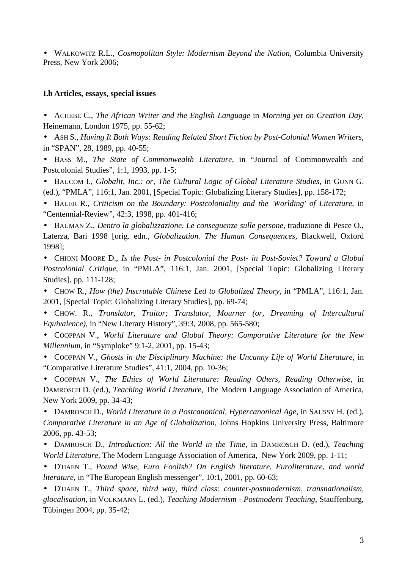• WALKOWITZ R.L., *Cosmopolitan Style: Modernism Beyond the Nation*, Columbia University Press, New York 2006;

#### **I.b Articles, essays, special issues**

• ACHEBE C., *The African Writer and the English Language* in *Morning yet on Creation Day*, Heinemann, London 1975, pp. 55-62;

• ASH S., *Having It Both Ways: Reading Related Short Fiction by Post-Colonial Women Writers*, in "SPAN", 28, 1989, pp. 40-55;

• BASS M., *The State of Commonwealth Literature*, in "Journal of Commonwealth and Postcolonial Studies", 1:1, 1993, pp. 1-5;

• BAUCOM I., *Globalit, Inc.: or, The Cultural Logic of Global Literature Studies*, in GUNN G. (ed.), "PMLA", 116:1, Jan. 2001, [Special Topic: Globalizing Literary Studies], pp. 158-172;

• BAUER R., *Criticism on the Boundary: Postcoloniality and the 'Worlding' of Literature*, in "Centennial-Review", 42:3, 1998, pp. 401-416;

• BAUMAN Z., *Dentro la globalizzazione. Le conseguenze sulle persone*, traduzione di Pesce O., Laterza, Bari 1998 [orig. edn., *Globalization. The Human Consequences*, Blackwell, Oxford 1998];

• CHIONI MOORE D., *Is the Post- in Postcolonial the Post- in Post-Soviet? Toward a Global Postcolonial Critique*, in "PMLA", 116:1, Jan. 2001, [Special Topic: Globalizing Literary Studies], pp. 111-128;

• CHOW R., *How (the) Inscrutable Chinese Led to Globalized Theory*, in "PMLA", 116:1, Jan. 2001, [Special Topic: Globalizing Literary Studies], pp. 69-74;

• CHOW. R., *Translator, Traitor; Translator, Mourner (or, Dreaming of Intercultural Equivalence)*, in "New Literary History", 39:3, 2008, pp. 565-580;

• COOPPAN V., *World Literature and Global Theory: Comparative Literature for the New Millennium*, in "Symploke" 9:1-2, 2001, pp. 15-43;

• COOPPAN V., *Ghosts in the Disciplinary Machine: the Uncanny Life of World Literature*, in "Comparative Literature Studies", 41:1, 2004, pp. 10-36;

• COOPPAN V., *The Ethics of World Literature: Reading Others, Reading Otherwise*, in DAMROSCH D. (ed.), *Teaching World Literature*, The Modern Language Association of America, New York 2009, pp. 34-43;

• DAMROSCH D., *World Literature in a Postcanonical, Hypercanonical Age*, in SAUSSY H. (ed.), *Comparative Literature in an Age of Globalization*, Johns Hopkins University Press, Baltimore 2006, pp. 43-53;

• DAMROSCH D., *Introduction: All the World in the Time*, in DAMROSCH D. (ed.), *Teaching World Literature*, The Modern Language Association of America, New York 2009, pp. 1-11;

• D'HAEN T., *Pound Wise, Euro Foolish? On English literature, Euroliterature, and world literature*, in "The European English messenger", 10:1, 2001, pp. 60-63;

• D'HAEN T., *Third space, third way, third class: counter-postmodernism, transnationalism, glocalisation*, in VOLKMANN L. (ed.), *Teaching Modernism - Postmodern Teaching*, Stauffenburg, Tübingen 2004, pp. 35-42;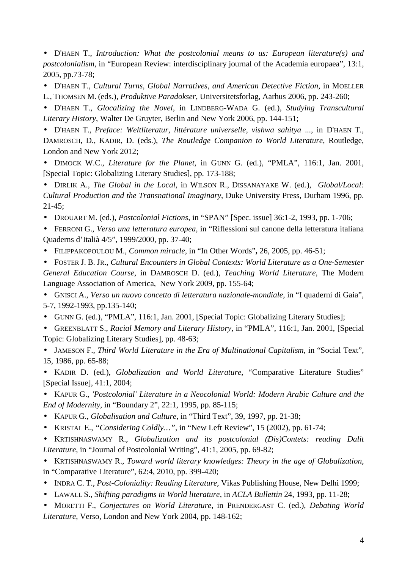• D'HAEN T., *Introduction: What the postcolonial means to us: European literature(s) and postcolonialism*, in "European Review: interdisciplinary journal of the Academia europaea", 13:1, 2005, pp.73-78;

• D'HAEN T., *Cultural Turns, Global Narratives, and American Detective Fiction*, in MOELLER

L., THOMSEN M. (eds.), *Produktive Paradokser*, Universitetsforlag, Aarhus 2006, pp. 243-260;

• D'HAEN T., *Glocalizing the Novel*, in LINDBERG-WADA G. (ed.), *Studying Transcultural Literary History*, Walter De Gruyter, Berlin and New York 2006, pp. 144-151;

• D'HAEN T., *Preface: Weltliteratur, littérature universelle, vishwa sahitya* ..., in D'HAEN T., DAMROSCH, D., KADIR, D. (eds.), *The Routledge Companion to World Literature*, Routledge, London and New York 2012;

• DIMOCK W.C., *Literature for the Planet*, in GUNN G. (ed.), "PMLA", 116:1, Jan. 2001, [Special Topic: Globalizing Literary Studies], pp. 173-188;

• DIRLIK A., *The Global in the Local*, in WILSON R., DISSANAYAKE W. (ed.), *Global/Local: Cultural Production and the Transnational Imaginary*, Duke University Press, Durham 1996, pp. 21-45;

• DROUART M. (ed.), *Postcolonial Fictions*, in "SPAN" [Spec. issue] 36:1-2, 1993, pp. 1-706;

• FERRONI G., *Verso una letteratura europea*, in "Riflessioni sul canone della letteratura italiana Quaderns d'Italià 4/5", 1999/2000, pp. 37-40;

• FILIPPAKOPOULOU M., *Common miracle*, in "In Other Words"**,** 26, 2005, pp. 46-51;

• FOSTER J. B. JR., *Cultural Encounters in Global Contexts: World Literature as a One-Semester General Education Course*, in DAMROSCH D. (ed.), *Teaching World Literature*, The Modern Language Association of America, New York 2009, pp. 155-64;

• GNISCI A., *Verso un nuovo concetto di letteratura nazionale-mondiale*, in "I quaderni di Gaia", 5-7, 1992-1993, pp.135-140;

• GUNN G. (ed.), "PMLA", 116:1, Jan. 2001, [Special Topic: Globalizing Literary Studies];

• GREENBLATT S., *Racial Memory and Literary History*, in "PMLA", 116:1, Jan. 2001, [Special Topic: Globalizing Literary Studies], pp. 48-63;

• JAMESON F., *Third World Literature in the Era of Multinational Capitalism*, in "Social Text", 15, 1986, pp. 65-88;

• KADIR D. (ed.), *Globalization and World Literature*, "Comparative Literature Studies" [Special Issue], 41:1, 2004;

• KAPUR G., *'Postcolonial' Literature in a Neocolonial World: Modern Arabic Culture and the End of Modernity*, in "Boundary 2", 22:1, 1995, pp. 85-115;

- KAPUR G., *Globalisation and Culture*, in "Third Text", 39, 1997, pp. 21-38;
- KRISTAL E., *"Considering Coldly…",* in "New Left Review", 15 (2002), pp. 61-74;

• KRTISHNASWAMY R., *Globalization and its postcolonial (Dis)Contets: reading Dalit Literature*, in "Journal of Postcolonial Writing", 41:1, 2005, pp. 69-82;

• KRTISHNASWAMY R., *Toward world literary knowledges: Theory in the age of Globalization*, in "Comparative Literature", 62:4, 2010, pp. 399-420;

• INDRA C. T., *Post-Coloniality: Reading Literature*, Vikas Publishing House, New Delhi 1999;

• LAWALL S., *Shifting paradigms in World literature*, in *ACLA Bullettin* 24, 1993, pp. 11-28;

• MORETTI F., *Conjectures on World Literature*, in PRENDERGAST C. (ed.), *Debating World Literature*, Verso, London and New York 2004, pp. 148-162;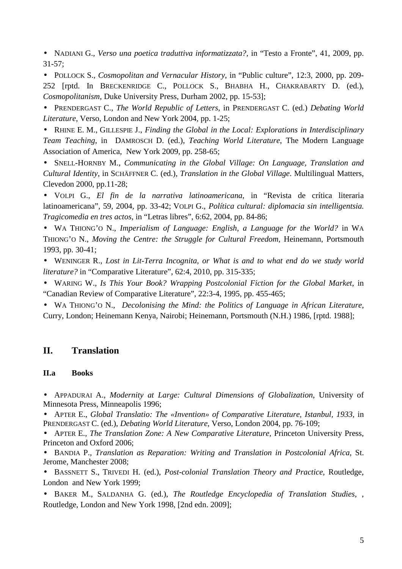• NADIANI G., *Verso una poetica traduttiva informatizzata?*, in "Testo a Fronte", 41, 2009, pp.  $31-57$ ;

• POLLOCK S., *Cosmopolitan and Vernacular History*, in "Public culture", 12:3, 2000, pp. 209- 252 [rptd. In BRECKENRIDGE C., POLLOCK S., BHABHA H., CHAKRABARTY D. (ed.), *Cosmopolitanism*, Duke University Press, Durham 2002, pp. 15-53];

• PRENDERGAST C., *The World Republic of Letters*, in PRENDERGAST C. (ed.) *Debating World Literature*, Verso, London and New York 2004, pp. 1-25;

• RHINE E. M., GILLESPIE J., *Finding the Global in the Local: Explorations in Interdisciplinary Team Teaching*, in DAMROSCH D. (ed.), *Teaching World Literature*, The Modern Language Association of America, New York 2009, pp. 258-65;

• SNELL-HORNBY M., *Communicating in the Global Village: On Language, Translation and Cultural Identity*, in SCHÄFFNER C. (ed.), *Translation in the Global Village*. Multilingual Matters, Clevedon 2000, pp.11-28;

• VOLPI G., *El fin de la narrativa latinoamericana*, in "Revista de crítica literaria latinoamericana", 59, 2004, pp. 33-42; VOLPI G., *Política cultural: diplomacia sin intelligentsia. Tragicomedia en tres actos*, in "Letras libres", 6:62, 2004, pp. 84-86;

• WA THIONG'O N., *Imperialism of Language: English, a Language for the World?* in WA THIONG'O N., *Moving the Centre: the Struggle for Cultural Freedom*, Heinemann, Portsmouth 1993, pp. 30-41;

• WENINGER R., *Lost in Lit-Terra Incognita, or What is and to what end do we study world literature?* in "Comparative Literature", 62:4, 2010, pp. 315-335;

• WARING W., *Is This Your Book? Wrapping Postcolonial Fiction for the Global Market*, in "Canadian Review of Comparative Literature", 22:3-4, 1995, pp. 455-465;

• WA THIONG'O N., *Decolonising the Mind: the Politics of Language in African Literature*, Curry, London; Heinemann Kenya, Nairobi; Heinemann, Portsmouth (N.H.) 1986, [rptd. 1988];

# **II. Translation**

## **II.a Books**

• APPADURAI A., *Modernity at Large: Cultural Dimensions of Globalization*, University of Minnesota Press, Minneapolis 1996;

• APTER E., *Global Translatio: The «Invention» of Comparative Literature, Istanbul, 1933*, in PRENDERGAST C. (ed.), *Debating World Literature*, Verso, London 2004, pp. 76-109;

• APTER E., *The Translation Zone: A New Comparative Literature*, Princeton University Press, Princeton and Oxford 2006;

• BANDIA P., *Translation as Reparation: Writing and Translation in Postcolonial Africa*, St. Jerome, Manchester 2008;

• BASSNETT S., TRIVEDI H. (ed.), *Post-colonial Translation Theory and Practice*, Routledge, London and New York 1999;

• BAKER M., SALDANHA G. (ed.), *The Routledge Encyclopedia of Translation Studies*, , Routledge, London and New York 1998, [2nd edn. 2009];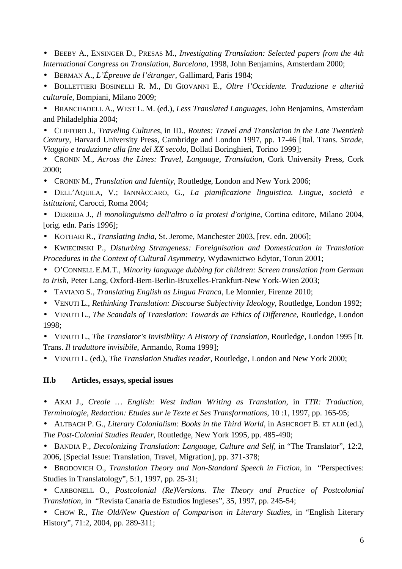• BEEBY A., ENSINGER D., PRESAS M., *Investigating Translation: Selected papers from the 4th International Congress on Translation*, *Barcelona*, 1998, John Benjamins, Amsterdam 2000;

• BERMAN A., *L'Épreuve de l'étranger*, Gallimard, Paris 1984;

• BOLLETTIERI BOSINELLI R. M., DI GIOVANNI E., *Oltre l'Occidente. Traduzione e alterità culturale*, Bompiani, Milano 2009;

• BRANCHADELL A., WEST L. M. (ed.), *Less Translated Languages*, John Benjamins, Amsterdam and Philadelphia 2004;

• CLIFFORD J., *Traveling Cultures*, in ID., *Routes: Travel and Translation in the Late Twentieth Century*, Harvard University Press, Cambridge and London 1997, pp. 17-46 [Ital. Trans. *Strade, Viaggio e traduzione alla fine del XX secolo*, Bollati Boringhieri, Torino 1999];

• CRONIN M., *Across the Lines: Travel, Language, Translation*, Cork University Press, Cork 2000;

• CRONIN M., *Translation and Identity*, Routledge, London and New York 2006;

• DELL'AQUILA, V.; IANNÀCCARO, G., *La pianificazione linguistica. Lingue, società e istituzioni*, Carocci, Roma 2004;

• DERRIDA J., *Il monolinguismo dell'altro o la protesi d'origine*, Cortina editore, Milano 2004, [orig. edn. Paris 1996];

• KOTHARI R., *Translating India*, St. Jerome, Manchester 2003, [rev. edn. 2006];

• KWIECINSKI P., *Disturbing Strangeness: Foreignisation and Domestication in Translation Procedures in the Context of Cultural Asymmetry*, Wydawnictwo Edytor, Torun 2001;

- O'CONNELL E.M.T., *Minority language dubbing for children: Screen translation from German to Irish*, Peter Lang, Oxford-Bern-Berlin-Bruxelles-Frankfurt-New York-Wien 2003;
- TAVIANO S., *Translating English as Lingua Franca*, Le Monnier, Firenze 2010;
- VENUTI L., *Rethinking Translation: Discourse Subjectivity Ideology*, Routledge, London 1992;

• VENUTI L., *The Scandals of Translation: Towards an Ethics of Difference,* Routledge, London 1998;

• VENUTI L., *The Translator's Invisibility: A History of Translation*, Routledge, London 1995 [It. Trans. *Il traduttore invisibile*, Armando, Roma 1999];

• VENUTI L. (ed.), *The Translation Studies reader*, Routledge, London and New York 2000;

#### **II.b Articles, essays, special issues**

• AKAI J.*, Creole … English: West Indian Writing as Translation*, in *TTR: Traduction, Terminologie, Redaction: Etudes sur le Texte et Ses Transformations*, 10 :1, 1997, pp. 165-95;

• ALTBACH P. G., *Literary Colonialism: Books in the Third World*, in ASHCROFT B. ET ALII (ed.), *The Post-Colonial Studies Reader*, Routledge, New York 1995, pp. 485-490;

• BANDIA P., *Decolonizing Translation: Language, Culture and Self*, in "The Translator", 12:2, 2006, [Special Issue: Translation, Travel, Migration], pp. 371-378;

• BRODOVICH O., *Translation Theory and Non-Standard Speech in Fiction*, in "Perspectives: Studies in Translatology", 5:1, 1997, pp. 25-31;

• CARBONELL O., *Postcolonial (Re)Versions. The Theory and Practice of Postcolonial Translation*, in "Revista Canaria de Estudios Ingleses", 35, 1997, pp. 245-54;

• CHOW R., *The Old/New Question of Comparison in Literary Studies*, in "English Literary History", 71:2, 2004, pp. 289-311;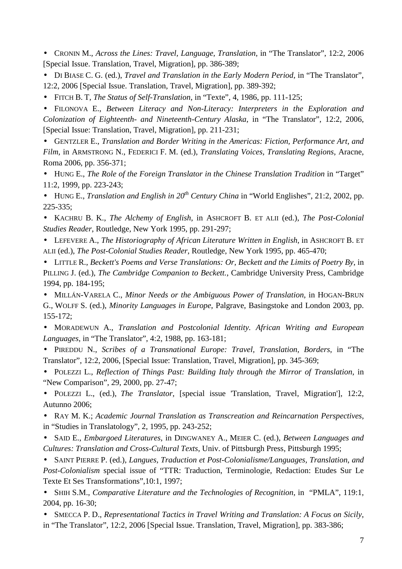• CRONIN M., *Across the Lines: Travel, Language, Translation*, in "The Translator", 12:2, 2006 [Special Issue. Translation, Travel, Migration], pp. 386-389;

• DI BIASE C. G. (ed.), *Travel and Translation in the Early Modern Period*, in "The Translator", 12:2, 2006 [Special Issue. Translation, Travel, Migration], pp. 389-392;

• FITCH B. T, *The Status of Self-Translation*, in "Texte", 4, 1986, pp. 111-125;

• FILONOVA E., *Between Literacy and Non-Literacy: Interpreters in the Exploration and Colonization of Eighteenth- and Nineteenth-Century Alaska*, in "The Translator", 12:2, 2006, [Special Issue: Translation, Travel, Migration], pp. 211-231;

• GENTZLER E., *Translation and Border Writing in the Americas: Fiction, Performance Art, and Film*, in ARMSTRONG N., FEDERICI F. M. (ed.), *Translating Voices, Translating Regions*, Aracne, Roma 2006, pp. 356-371;

• HUNG E., *The Role of the Foreign Translator in the Chinese Translation Tradition* in "Target" 11:2, 1999, pp. 223-243;

• HUNG E., *Translation and English in 20th Century China* in "World Englishes", 21:2, 2002, pp. 225-335;

• KACHRU B. K., *The Alchemy of English*, in ASHCROFT B. ET ALII (ed.), *The Post-Colonial Studies Reader*, Routledge, New York 1995, pp. 291-297;

• LEFEVERE A., *The Historiography of African Literature Written in English*, in ASHCROFT B. ET ALII (ed.), *The Post-Colonial Studies Reader*, Routledge, New York 1995, pp. 465-470;

• LITTLE R., *Beckett's Poems and Verse Translations: Or, Beckett and the Limits of Poetry By*, in PILLING J. (ed.), *The Cambridge Companion to Beckett.*, Cambridge University Press, Cambridge 1994, pp. 184-195;

• MILLÁN-VARELA C., *Minor Needs or the Ambiguous Power of Translation*, in HOGAN-BRUN G., WOLFF S. (ed.), *Minority Languages in Europe*, Palgrave, Basingstoke and London 2003, pp. 155-172;

• MORADEWUN A., *Translation and Postcolonial Identity. African Writing and European Languages*, in "The Translator", 4:2, 1988, pp. 163-181;

• PIREDDU N., *Scribes of a Transnational Europe: Travel, Translation, Borders*, in "The Translator", 12:2, 2006, [Special Issue: Translation, Travel, Migration], pp. 345-369;

• POLEZZI L., *Reflection of Things Past: Building Italy through the Mirror of Translation*, in "New Comparison", 29, 2000, pp. 27-47;

• POLEZZI L., (ed.), *The Translator*, [special issue 'Translation, Travel, Migration'], 12:2, Autunno 2006;

• RAY M. K.; *Academic Journal Translation as Transcreation and Reincarnation Perspectives*, in "Studies in Translatology", 2, 1995, pp. 243-252;

• SAID E., *Embargoed Literatures*, in DINGWANEY A., MEIER C. (ed.), *Between Languages and Cultures: Translation and Cross-Cultural Texts*, Univ. of Pittsburgh Press, Pittsburgh 1995;

• SAINT PIERRE P. (ed.), *Langues, Traduction et Post-Colonialisme/Languages, Translation, and Post-Colonialism* special issue of "TTR: Traduction, Terminologie, Redaction: Etudes Sur Le Texte Et Ses Transformations",10:1, 1997;

• SHIH S.M., *Comparative Literature and the Technologies of Recognition*, in "PMLA", 119:1, 2004, pp. 16-30;

• SMECCA P. D., *Representational Tactics in Travel Writing and Translation: A Focus on Sicily*, in "The Translator", 12:2, 2006 [Special Issue. Translation, Travel, Migration], pp. 383-386;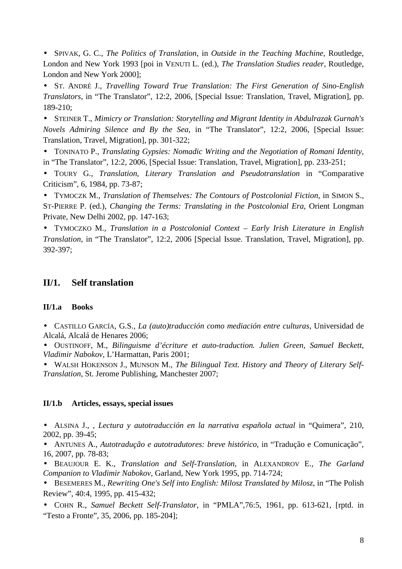• SPIVAK, G. C., *The Politics of Translation*, in *Outside in the Teaching Machine*, Routledge, London and New York 1993 [poi in VENUTI L. (ed.), *The Translation Studies reader*, Routledge, London and New York 2000];

• ST. ANDRÉ J., *Travelling Toward True Translation: The First Generation of Sino-English Translators*, in "The Translator", 12:2, 2006, [Special Issue: Translation, Travel, Migration], pp. 189-210;

• STEINER T., *Mimicry or Translation: Storytelling and Migrant Identity in Abdulrazak Gurnah's Novels Admiring Silence and By the Sea*, in "The Translator", 12:2, 2006, [Special Issue: Translation, Travel, Migration], pp. 301-322;

• TONINATO P., *Translating Gypsies: Nomadic Writing and the Negotiation of Romani Identity*, in "The Translator", 12:2, 2006, [Special Issue: Translation, Travel, Migration], pp. 233-251;

• TOURY G., *Translation, Literary Translation and Pseudotranslation* in "Comparative Criticism", 6, 1984, pp. 73-87;

• TYMOCZK M., *Translation of Themselves: The Contours of Postcolonial Fiction*, in SIMON S., ST-PIERRE P. (ed.), *Changing the Terms: Translating in the Postcolonial Era*, Orient Longman Private, New Delhi 2002, pp. 147-163;

• TYMOCZKO M., *Translation in a Postcolonial Context – Early Irish Literature in English Translation*, in "The Translator", 12:2, 2006 [Special Issue. Translation, Travel, Migration], pp. 392-397;

## **II/1. Self translation**

#### **II/1.a Books**

• CASTILLO GARCÍA, G.S., *La (auto)traducción como mediación entre culturas*, Universidad de Alcalá, Alcalá de Henares 2006;

• OUSTINOFF, M., *Bilinguisme d'écriture et auto-traduction. Julien Green, Samuel Beckett, Vladimir Nabokov*, L'Harmattan, Paris 2001;

• WALSH HOKENSON J., MUNSON M., *The Bilingual Text. History and Theory of Literary Self-Translation*, St. Jerome Publishing, Manchester 2007;

#### **II/1.b Articles, essays, special issues**

• ALSINA J., , *Lectura y autotraducción en la narrativa española actual* in "Quimera", 210, 2002, pp. 39-45;

• ANTUNES A., *Autotradução e autotradutores: breve histórico*, in "Tradução e Comunicação", 16, 2007, pp. 78-83;

• BEAUJOUR E. K., *Translation and Self-Translation*, in ALEXANDROV E., *The Garland Companion to Vladimir Nabokov*, Garland, New York 1995, pp. 714-724;

• BESEMERES M., *Rewriting One's Self into English: Milosz Translated by Milosz*, in "The Polish Review", 40:4, 1995, pp. 415-432;

• COHN R., *Samuel Beckett Self-Translator*, in "PMLA",76:5, 1961, pp. 613-621, [rptd. in "Testo a Fronte", 35, 2006, pp. 185-204];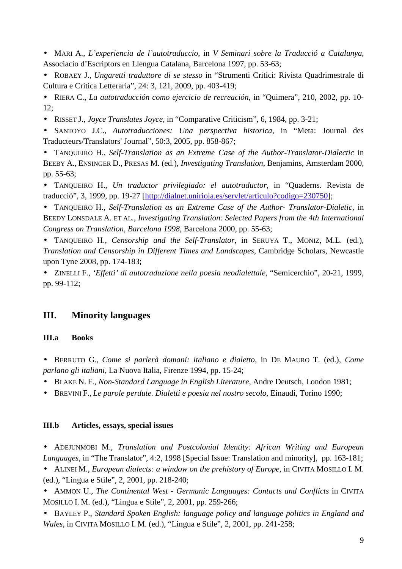- MARI A., *L'experiencia de l'autotraduccio*, in *V Seminari sobre la Traducció a Catalunya*, Associacio d'Escriptors en Llengua Catalana, Barcelona 1997, pp. 53-63;
- ROBAEY J., *Ungaretti traduttore di se stesso* in "Strumenti Critici: Rivista Quadrimestrale di Cultura e Critica Letteraria", 24: 3, 121, 2009, pp. 403-419;
- RIERA C., *La autotraducción como ejercicio de recreación*, in "Quimera", 210, 2002, pp. 10- 12;
- RISSET J., *Joyce Translates Joyce*, in "Comparative Criticism", 6, 1984, pp. 3-21;

• SANTOYO J.C., *Autotraducciones: Una perspectiva historica*, in "Meta: Journal des Traducteurs/Translators' Journal", 50:3, 2005, pp. 858-867;

• TANQUEIRO H., *Self-Translation as an Extreme Case of the Author-Translator-Dialectic* in BEEBY A., ENSINGER D., PRESAS M. (ed.), *Investigating Translation*, Benjamins, Amsterdam 2000, pp. 55-63;

• TANQUEIRO H., *Un traductor privilegiado: el autotraductor*, in "Quaderns. Revista de traducció", 3, 1999, pp. 19-27 [http://dialnet.unirioja.es/servlet/articulo?codigo=230750];

• TANQUEIRO H., *Self-Translation as an Extreme Case of the Author- Translator-Dialetic*, in BEEDY LONSDALE A. ET AL., *Investigating Translation: Selected Papers from the 4th International Congress on Translation, Barcelona 1998*, Barcelona 2000, pp. 55-63;

• TANQUEIRO H., *Censorship and the Self-Translator*, in SERUYA T., MONIZ, M.L. (ed.), *Translation and Censorship in Different Times and Landscapes*, Cambridge Scholars, Newcastle upon Tyne 2008, pp. 174-183;

• ZINELLI F., *'Effetti' di autotraduzione nella poesia neodialettale*, "Semicerchio", 20-21, 1999, pp. 99-112;

## **III. Minority languages**

## **III.a Books**

• BERRUTO G., *Come si parlerà domani: italiano e dialetto*, in DE MAURO T. (ed.), *Come parlano gli italiani*, La Nuova Italia, Firenze 1994, pp. 15-24;

- BLAKE N. F., *Non-Standard Language in English Literature*, Andre Deutsch, London 1981;
- BREVINI F., *Le parole perdute. Dialetti e poesia nel nostro secolo*, Einaudi, Torino 1990;

## **III.b Articles, essays, special issues**

• ADEJUNMOBI M., *Translation and Postcolonial Identity: African Writing and European Languages*, in "The Translator", 4:2, 1998 [Special Issue: Translation and minority], pp. 163-181;

• ALINEI M., *European dialects: a window on the prehistory of Europe*, in CIVITA MOSILLO I. M. (ed.), "Lingua e Stile", 2, 2001, pp. 218-240;

• AMMON U., *The Continental West - Germanic Languages: Contacts and Conflicts* in CIVITA MOSILLO I. M. (ed.), "Lingua e Stile", 2, 2001, pp. 259-266;

• BAYLEY P., *Standard Spoken English: language policy and language politics in England and Wales*, in CIVITA MOSILLO I. M. (ed.), "Lingua e Stile", 2, 2001, pp. 241-258;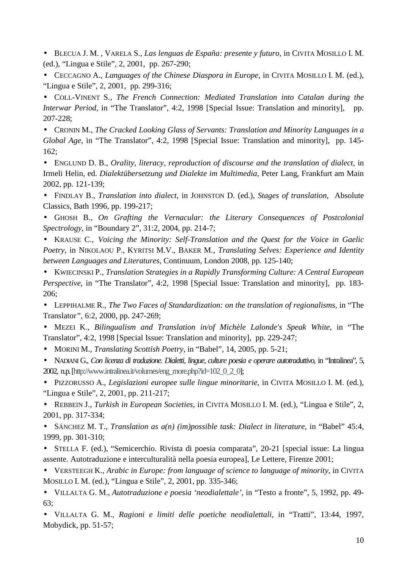• BLECUA J. M. , VARELA S., *Las lenguas de España: presente y futuro*, in CIVITA MOSILLO I. M. (ed.), "Lingua e Stile", 2, 2001, pp. 267-290;

• CECCAGNO A., *Languages of the Chinese Diaspora in Europe*, in CIVITA MOSILLO I. M. (ed.), "Lingua e Stile", 2, 2001, pp. 299-316;

• COLL-VINENT S*., The French Connection: Mediated Translation into Catalan during the Interwar Period*, in "The Translator", 4:2, 1998 [Special Issue: Translation and minority], pp. 207-228;

• CRONIN M., *The Cracked Looking Glass of Servants: Translation and Minority Languages in a Global Age*, in "The Translator", 4:2, 1998 [Special Issue: Translation and minority], pp. 145- 162;

• ENGLUND D. B., *Orality, literacy, reproduction of discourse and the translation of dialect*, in Irmeli Helin, ed. *Dialektübersetzung und Dialekte im Multimedia*, Peter Lang, Frankfurt am Main 2002, pp. 121-139;

• FINDLAY B., *Translation into dialect*, in JOHNSTON D. (ed.), *Stages of translation*, Absolute Classics, Bath 1996, pp. 199-217;

• GHOSH B., *On Grafting the Vernacular: the Literary Consequences of Postcolonial Spectrology*, in "Boundary 2", 31:2, 2004, pp. 214-7;

• KRAUSE C., *Voicing the Minority: Self-Translation and the Quest for the Voice in Gaelic Poetry*, in NIKOLAOU P., KYRITSI M.V., BAKER M., *Translating Selves: Experience and Identity between Languages and Literatures*, Continuum, London 2008, pp. 125-140;

• KWIECINSKI P., *Translation Strategies in a Rapidly Transforming Culture: A Central European Perspective*, in "The Translator", 4:2, 1998 [Special Issue: Translation and minority], pp. 183- 206;

• LEPPIHALME R., *The Two Faces of Standardization: on the translation of regionalisms*, in "The Translator*"*, 6:2, 2000, pp. 247-269;

• MEZEI K., *Bilingualism and Translation in/of Michèle Lalonde's Speak White*, in "The Translator", 4:2, 1998 [Special Issue: Translation and minority], pp. 229-247;

• MORINI M., *Translating Scottish Poetry*, in "Babel", 14, 2005, pp. 5-21;

• NADIANI G., *Con licenza di traduzione. Dialetti, lingue, culture poesia e operare autotraduttivo*, in "Intralinea", 5, 2002, n.p. [http://www.intralinea.it/volumes/eng\_more.php?id=102\_0\_2\_0];

• PIZZORUSSO A., *Legislazioni europee sulle lingue minoritarie*, in CIVITA MOSILLO I. M. (ed.), "Lingua e Stile", 2, 2001, pp. 211-217;

• REBBEIN J., *Turkish in European Societies*, in CIVITA MOSILLO I. M. (ed.), "Lingua e Stile", 2, 2001, pp. 317-334;

• SÁNCHEZ M. T., *Translation as a(n) (im)possible task: Dialect in literature*, in "Babel" 45:4, 1999, pp. 301-310;

• STELLA F. (ed.), "Semicerchio. Rivista di poesia comparata", 20-21 [special issue: La lingua assente. Autotraduzione e interculturalità nella poesia europea], Le Lettere, Firenze 2001;

• VERSTEEGH K., *Arabic in Europe: from language of science to language of minority*, in CIVITA MOSILLO I. M. (ed.), "Lingua e Stile", 2, 2001, pp. 335-346;

• VILLALTA G. M., *Autotraduzione e poesia 'neodialettale'*, in "Testo a fronte", 5, 1992, pp. 49- 63;

• VILLALTA G. M., *Ragioni e limiti delle poetiche neodialettali*, in "Tratti", 13:44, 1997, Mobydick, pp. 51-57;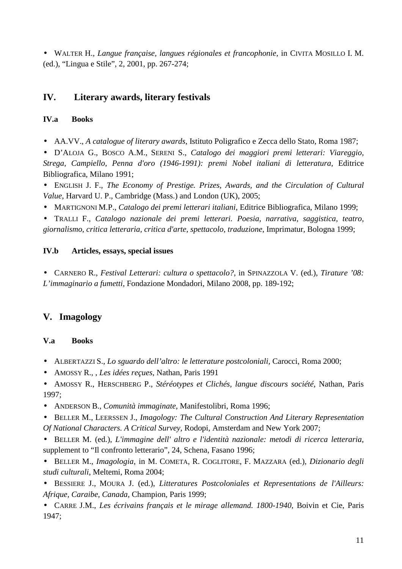• WALTER H., *Langue française, langues régionales et francophonie*, in CIVITA MOSILLO I. M. (ed.), "Lingua e Stile", 2, 2001, pp. 267-274;

# **IV. Literary awards, literary festivals**

# **IV.a Books**

• AA.VV., *A catalogue of literary awards*, Istituto Poligrafico e Zecca dello Stato, Roma 1987;

• D'ALOJA G., BOSCO A.M., SERENI S., *Catalogo dei maggiori premi letterari: Viareggio, Strega, Campiello, Penna d'oro (1946-1991): premi Nobel italiani di letteratura*, Editrice Bibliografica, Milano 1991;

• ENGLISH J. F., *The Economy of Prestige. Prizes, Awards, and the Circulation of Cultural Value*, Harvard U. P., Cambridge (Mass.) and London (UK), 2005;

• MARTIGNONI M.P., *Catalogo dei premi letterari italiani*, Editrice Bibliografica, Milano 1999;

• TRALLI F., *Catalogo nazionale dei premi letterari. Poesia, narrativa, saggistica, teatro, giornalismo, critica letteraria, critica d'arte, spettacolo, traduzione*, Imprimatur, Bologna 1999;

# **IV.b Articles, essays, special issues**

• CARNERO R., *Festival Letterari: cultura o spettacolo?*, in SPINAZZOLA V. (ed.), *Tirature '08: L'immaginario a fumetti*, Fondazione Mondadori, Milano 2008, pp. 189-192;

# **V. Imagology**

# **V.a Books**

- ALBERTAZZI S., *Lo sguardo dell'altro: le letterature postcoloniali*, Carocci, Roma 2000;
- AMOSSY R., , *Les idées reçues*, Nathan, Paris 1991
- AMOSSY R., HERSCHBERG P., *Stéréotypes et Clichés, langue discours société*, Nathan, Paris 1997;
- ANDERSON B., *Comunità immaginate*, Manifestolibri, Roma 1996;
- BELLER M., LEERSSEN J., *Imagology: The Cultural Construction And Literary Representation Of National Characters. A Critical Survey*, Rodopi, Amsterdam and New York 2007;

• BELLER M. (ed.), *L'immagine dell' altro e l'identità nazionale: metodi di ricerca letteraria*, supplement to "Il confronto letterario", 24, Schena, Fasano 1996;

• BELLER M., *Imagologia*, in M. COMETA, R. COGLITORE, F. MAZZARA (ed.), *Dizionario degli studi culturali*, Meltemi, Roma 2004;

• BESSIERE J., MOURA J. (ed.), *Litteratures Postcoloniales et Representations de l'Ailleurs: Afrique, Caraibe, Canada*, Champion, Paris 1999;

• CARRE J.M., *Les écrivains français et le mirage allemand. 1800-1940*, Boivin et Cie, Paris 1947;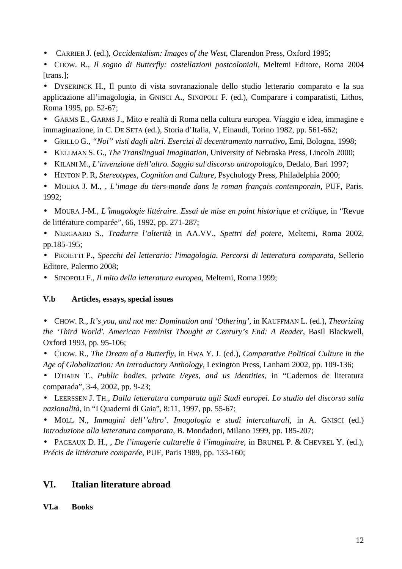- CARRIER J. (ed.), *Occidentalism: Images of the West*, Clarendon Press, Oxford 1995;
- CHOW. R., *Il sogno di Butterfly: costellazioni postcoloniali*, Meltemi Editore, Roma 2004 [trans.];

• DYSERINCK H., Il punto di vista sovranazionale dello studio letterario comparato e la sua applicazione all'imagologia, in GNISCI A., SINOPOLI F. (ed.), Comparare i comparatisti, Lithos, Roma 1995, pp. 52-67;

• GARMS E., GARMS J., Mito e realtà di Roma nella cultura europea. Viaggio e idea, immagine e immaginazione, in C. DE SETA (ed.), Storia d'Italia, V, Einaudi, Torino 1982, pp. 561-662;

- GRILLO G., *"Noi" visti dagli altri. Esercizi di decentramento narrativo***,** Emi, Bologna, 1998;
- KELLMAN S. G., *The Translingual Imagination*, University of Nebraska Press, Lincoln 2000;
- KILANI M., *L'invenzione dell'altro. Saggio sul discorso antropologico*, Dedalo, Bari 1997;
- HINTON P. R, *Stereotypes, Cognition and Culture*, Psychology Press, Philadelphia 2000;

• MOURA J. M., , *L'image du tiers-monde dans le roman français contemporain*, PUF, Paris. 1992;

• MOURA J-M., *L*'*imagologie littéraire. Essai de mise en point historique et critique*, in "Revue de littérature comparée", 66, 1992, pp. 271-287;

• NERGAARD S., *Tradurre l'alterità* in AA.VV., *Spettri del potere*, Meltemi, Roma 2002, pp.185-195;

• PROIETTI P., *Specchi del letterario: l'imagologia. Percorsi di letteratura comparata*, Sellerio Editore, Palermo 2008;

• SINOPOLI F., *Il mito della letteratura europea*, Meltemi, Roma 1999;

## **V.b Articles, essays, special issues**

• CHOW. R., *It's you, and not me: Domination and 'Othering'*, in KAUFFMAN L. (ed.), *Theorizing the 'Third World'. American Feminist Thought at Century's End: A Reader*, Basil Blackwell, Oxford 1993, pp. 95-106;

• CHOW. R., *The Dream of a Butterfly*, in HWA Y. J. (ed.), *Comparative Political Culture in the Age of Globalization: An Introductory Anthology*, Lexington Press, Lanham 2002, pp. 109-136;

• D'HAEN T., *Public bodies, private I/eyes, and us identities*, in "Cadernos de literatura comparada"*,* 3-4, 2002, pp. 9-23;

• LEERSSEN J. TH., *Dalla letteratura comparata agli Studi europei. Lo studio del discorso sulla nazionalità*, in "I Quaderni di Gaia", 8:11, 1997, pp. 55-67;

• MOLL N., *Immagini dell''altro'. Imagologia e studi interculturali*, in A. GNISCI (ed.) *Introduzione alla letteratura comparata*, B. Mondadori, Milano 1999, pp. 185-207;

• PAGEAUX D. H., , *De l'imagerie culturelle à l'imaginaire,* in BRUNEL P. & CHEVREL Y. (ed.), *Précis de littérature comparée,* PUF, Paris 1989, pp. 133-160;

# **VI. Italian literature abroad**

## **VI.a Books**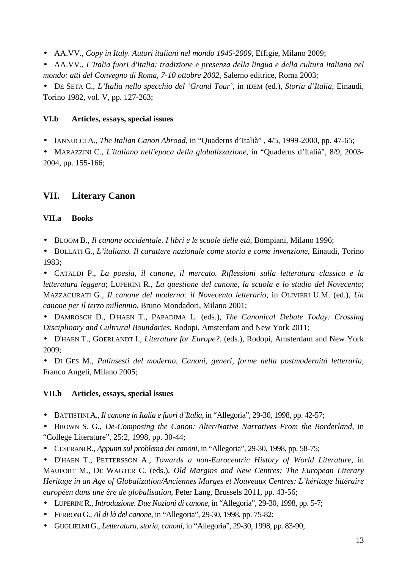• AA.VV., *Copy in Italy. Autori italiani nel mondo 1945-2009*, Effigie, Milano 2009;

• AA.VV., *L'Italia fuori d'Italia: tradizione e presenza della lingua e della cultura italiana nel mondo: atti del Convegno di Roma, 7-10 ottobre 2002*, Salerno editrice, Roma 2003;

• DE SETA C., *L'Italia nello specchio del 'Grand Tour'*, in IDEM (ed.), *Storia d'Italia*, Einaudi, Torino 1982, vol. V, pp. 127-263;

### **VI.b Articles, essays, special issues**

• IANNUCCI A., *The Italian Canon Abroad*, in "Quaderns d'Italià" , 4/5, 1999-2000, pp. 47-65;

• MARAZZINI C., *L'italiano nell'epoca della globalizzazione*, in "Quaderns d'Italià", 8/9, 2003- 2004, pp. 155-166;

## **VII. Literary Canon**

#### **VII.a Books**

• BLOOM B., *Il canone occidentale*. *I libri e le scuole delle età*, Bompiani, Milano 1996;

• BOLLATI G., *L'italiano. Il carattere nazionale come storia e come invenzione*, Einaudi, Torino 1983;

• CATALDI P., *La poesia, il canone, il mercato. Riflessioni sulla letteratura classica e la letteratura leggera*; LUPERINI R., *La questione del canone, la scuola e lo studio del Novecento*; MAZZACURATI G., *Il canone del moderno: il Novecento letterario*, in OLIVIERI U.M. (ed.), *Un canone per il terzo millennio*, Bruno Mondadori, Milano 2001;

• DAMROSCH D., D'HAEN T., PAPADIMA L. (eds.), *The Canonical Debate Today: Crossing Disciplinary and Cultrural Boundaries*, Rodopi, Amsterdam and New York 2011;

• D'HAEN T., GOERLANDT I., *Literature for Europe?.* (eds.), Rodopi, Amsterdam and New York 2009;

• DI GES M., *Palinsesti del moderno. Canoni, generi, forme nella postmodernità letteraria*, Franco Angeli, Milano 2005;

#### **VII.b Articles, essays, special issues**

• BATTISTINI A., *Il canone in Italia e fuori d'Italia*, in "Allegoria", 29-30, 1998, pp. 42-57;

• BROWN S. G., *De-Composing the Canon: Alter/Native Narratives From the Borderland*, in "College Literature", 25:2, 1998, pp. 30-44;

• CESERANI R., *Appunti sul problema dei canoni*, in "Allegoria", 29-30, 1998, pp. 58-75;

• D'HAEN T., PETTERSSON A., *Towards a non-Eurocentric History of World Literature*, in MAUFORT M., DE WAGTER C. (eds.), *Old Margins and New Centres: The European Literary Heritage in an Age of Globalization/Anciennes Marges et Nouveaux Centres: L'héritage littéraire européen dans une ère de globalisation*, Peter Lang, Brussels 2011, pp. 43-56;

• LUPERINI R., *Introduzione. Due Nozioni di canone*, in "Allegoria", 29-30, 1998, pp. 5-7;

- FERRONI G., *Al di là del canone*, in "Allegoria", 29-30, 1998, pp. 75-82;
- GUGLIELMI G., *Letteratura, storia, canoni*, in "Allegoria", 29-30, 1998, pp. 83-90;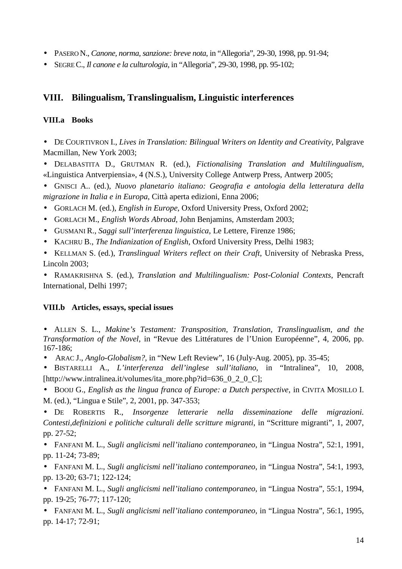- PASERO N., *Canone, norma, sanzione: breve nota*, in "Allegoria", 29-30, 1998, pp. 91-94;
- SEGRE C., *Il canone e la culturologia*, in "Allegoria", 29-30, 1998, pp. 95-102;

# **VIII. Bilingualism, Translingualism, Linguistic interferences**

### **VIII.a Books**

• DE COURTIVRON I., *Lives in Translation: Bilingual Writers on Identity and Creativity*, Palgrave Macmillan, New York 2003;

• DELABASTITA D., GRUTMAN R. (ed.), *Fictionalising Translation and Multilingualism*, «Linguistica Antverpiensia», 4 (N.S.), University College Antwerp Press, Antwerp 2005;

• GNISCI A.. (ed.), *Nuovo planetario italiano: Geografia e antologia della letteratura della migrazione in Italia e in Europa*, Città aperta edizioni, Enna 2006;

- GORLACH M. (ed.), *English in Europe*, Oxford University Press, Oxford 2002;
- GORLACH M., *English Words Abroad*, John Benjamins, Amsterdam 2003;
- GUSMANI R., *Saggi sull'interferenza linguistica*, Le Lettere, Firenze 1986;
- KACHRU B., *The Indianization of English*, Oxford University Press, Delhi 1983;

• KELLMAN S. (ed.), *Translingual Writers reflect on their Craft*, University of Nebraska Press, Lincoln 2003;

• RAMAKRISHNA S. (ed.), *Translation and Multilingualism: Post-Colonial Contexts*, Pencraft International, Delhi 1997;

#### **VIII.b Articles, essays, special issues**

• ALLEN S. L., *Makine's Testament: Transposition, Translation, Translingualism, and the Transformation of the Novel*, in "Revue des Littératures de l'Union Européenne", 4, 2006, pp. 167-186;

• ARAC J., *Anglo-Globalism?,* in "New Left Review", 16 (July-Aug. 2005), pp. 35-45;

• BISTARELLI A., *L'interferenza dell'inglese sull'italiano*, in "Intralinea", 10, 2008, [http://www.intralinea.it/volumes/ita\_more.php?id=636\_0\_2\_0\_C];

• BOOIJ G., *English as the lingua franca of Europe: a Dutch perspective*, in CIVITA MOSILLO I. M. (ed.), "Lingua e Stile", 2, 2001, pp. 347-353;

• DE ROBERTIS R., *Insorgenze letterarie nella disseminazione delle migrazioni. Contesti,definizioni e politiche culturali delle scritture migranti*, in "Scritture migranti", 1, 2007, pp. 27-52;

• FANFANI M. L., *Sugli anglicismi nell'italiano contemporaneo*, in "Lingua Nostra", 52:1, 1991, pp. 11-24; 73-89;

• FANFANI M. L., *Sugli anglicismi nell'italiano contemporaneo*, in "Lingua Nostra", 54:1, 1993, pp. 13-20; 63-71; 122-124;

• FANFANI M. L., *Sugli anglicismi nell'italiano contemporaneo*, in "Lingua Nostra", 55:1, 1994, pp. 19-25; 76-77; 117-120;

• FANFANI M. L., *Sugli anglicismi nell'italiano contemporaneo*, in "Lingua Nostra", 56:1, 1995, pp. 14-17; 72-91;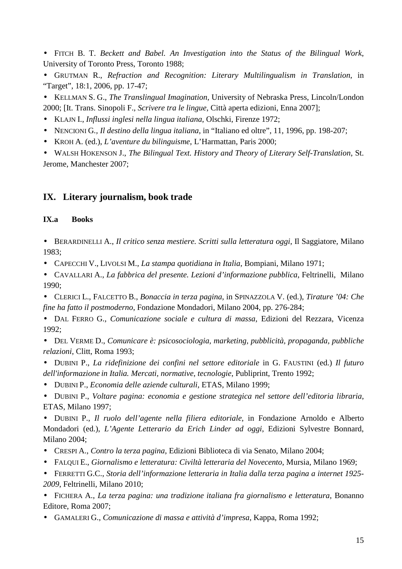• FITCH B. T. *Beckett and Babel. An Investigation into the Status of the Bilingual Work*, University of Toronto Press, Toronto 1988;

- GRUTMAN R., *Refraction and Recognition: Literary Multilingualism in Translation*, in "Target", 18:1, 2006, pp. 17-47;
- KELLMAN S. G., *The Translingual Imagination*, University of Nebraska Press, Lincoln/London 2000; [It. Trans. Sinopoli F., *Scrivere tra le lingue*, Città aperta edizioni, Enna 2007];
- KLAJN I., *Influssi inglesi nella lingua italiana*, Olschki, Firenze 1972;
- NENCIONI G*., Il destino della lingua italiana*, in "Italiano ed oltre", 11, 1996, pp. 198-207;
- KROH A. (ed.), *L'aventure du bilinguisme*, L'Harmattan, Paris 2000;
- WALSH HOKENSON J., *The Bilingual Text. History and Theory of Literary Self-Translation*, St. Jerome, Manchester 2007;

# **IX. Literary journalism, book trade**

### **IX.a Books**

- BERARDINELLI A., *Il critico senza mestiere. Scritti sulla letteratura oggi*, Il Saggiatore, Milano 1983;
- CAPECCHI V., LIVOLSI M., *La stampa quotidiana in Italia*, Bompiani, Milano 1971;
- CAVALLARI A., *La fabbrica del presente. Lezioni d'informazione pubblica*, Feltrinelli, Milano 1990;
- CLERICI L., FALCETTO B., *Bonaccia in terza pagina*, in SPINAZZOLA V. (ed.), *Tirature '04: Che fine ha fatto il postmoderno*, Fondazione Mondadori, Milano 2004, pp. 276-284;
- DAL FERRO G., *Comunicazione sociale e cultura di massa*, Edizioni del Rezzara, Vicenza 1992;
- DEL VERME D., *Comunicare è: psicosociologia, marketing, pubblicità, propaganda, pubbliche relazioni*, Clitt, Roma 1993;
- DUBINI P., *La ridefinizione dei confini nel settore editoriale* in G. FAUSTINI (ed.) *Il futuro dell'informazione in Italia. Mercati, normative, tecnologie*, Publiprint, Trento 1992;
- DUBINI P., *Economia delle aziende culturali*, ETAS, Milano 1999;
- DUBINI P., *Voltare pagina: economia e gestione strategica nel settore dell'editoria libraria*, ETAS, Milano 1997;

• DUBINI P., *Il ruolo dell'agente nella filiera editoriale*, in Fondazione Arnoldo e Alberto Mondadori (ed.), *L'Agente Letterario da Erich Linder ad oggi*, Edizioni Sylvestre Bonnard, Milano 2004;

- CRESPI A., *Contro la terza pagina*, Edizioni Biblioteca di via Senato, Milano 2004;
- FALQUI E., *Giornalismo e letteratura: Civiltà letteraria del Novecento*, Mursia, Milano 1969;
- FERRETTI G.C., *Storia dell'informazione letteraria in Italia dalla terza pagina a internet 1925- 2009*, Feltrinelli, Milano 2010;

• FICHERA A., *La terza pagina: una tradizione italiana fra giornalismo e letteratura*, Bonanno Editore, Roma 2007;

• GAMALERI G., *Comunicazione di massa e attività d'impresa*, Kappa, Roma 1992;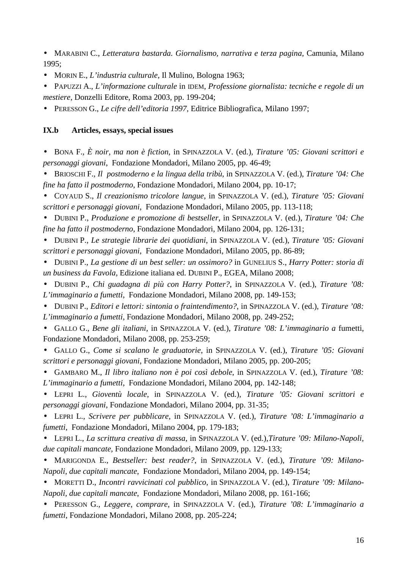• MARABINI C., *Letteratura bastarda. Giornalismo, narrativa e terza pagina*, Camunia, Milano 1995;

- MORIN E., *L'industria culturale*, Il Mulino, Bologna 1963;
- PAPUZZI A., *L'informazione culturale* in IDEM, *Professione giornalista: tecniche e regole di un mestiere*, Donzelli Editore, Roma 2003, pp. 199-204;
- PERESSON G., *Le cifre dell'editoria 1997*, Editrice Bibliografica, Milano 1997;

#### **IX.b Articles, essays, special issues**

• BONA F., *È noir, ma non è fiction*, in SPINAZZOLA V. (ed.), *Tirature '05: Giovani scrittori e personaggi giovani*, Fondazione Mondadori, Milano 2005, pp. 46-49;

• BRIOSCHI F., *Il postmoderno e la lingua della tribù*, in SPINAZZOLA V. (ed.), *Tirature '04: Che fine ha fatto il postmoderno*, Fondazione Mondadori, Milano 2004, pp. 10-17;

• COYAUD S., *Il creazionismo tricolore langue*, in SPINAZZOLA V. (ed.), *Tirature '05: Giovani scrittori e personaggi giovani*, Fondazione Mondadori, Milano 2005, pp. 113-118;

• DUBINI P., *Produzione e promozione di bestseller*, in SPINAZZOLA V. (ed.), *Tirature '04: Che fine ha fatto il postmoderno*, Fondazione Mondadori, Milano 2004, pp. 126-131;

• DUBINI P., *Le strategie librarie dei quotidiani*, in SPINAZZOLA V. (ed.), *Tirature '05: Giovani scrittori e personaggi giovani*, Fondazione Mondadori, Milano 2005, pp. 86-89;

• DUBINI P., *La gestione di un best seller: un ossimoro?* in GUNELIUS S., *Harry Potter: storia di un business da Favola*, Edizione italiana ed. DUBINI P., EGEA, Milano 2008;

• DUBINI P., *Chi guadagna di più con Harry Potter?*, in SPINAZZOLA V. (ed.), *Tirature '08: L'immaginario a fumetti*, Fondazione Mondadori, Milano 2008, pp. 149-153;

• DUBINI P., *Editori e lettori: sintonia o fraintendimento?*, in SPINAZZOLA V. (ed.), *Tirature '08: L'immaginario a fumetti*, Fondazione Mondadori, Milano 2008, pp. 249-252;

• GALLO G., *Bene gli italiani*, in SPINAZZOLA V. (ed.), *Tirature '08: L'immaginario a* fumetti, Fondazione Mondadori, Milano 2008, pp. 253-259;

• GALLO G., *Come si scalano le graduatorie*, in SPINAZZOLA V. (ed.), *Tirature '05: Giovani scrittori e personaggi giovani*, Fondazione Mondadori, Milano 2005, pp. 200-205;

• GAMBARO M., *Il libro italiano non è poi così debole*, in SPINAZZOLA V. (ed.), *Tirature '08: L'immaginario a fumetti*, Fondazione Mondadori, Milano 2004, pp. 142-148;

• LEPRI L., *Gioventù locale*, in SPINAZZOLA V. (ed.), *Tirature '05: Giovani scrittori e personaggi giovani*, Fondazione Mondadori, Milano 2004, pp. 31-35;

• LEPRI L., *Scrivere per pubblicare*, in SPINAZZOLA V. (ed.), *Tirature '08: L'immaginario a fumetti*, Fondazione Mondadori, Milano 2004, pp. 179-183;

• LEPRI L., *La scrittura creativa di massa*, in SPINAZZOLA V. (ed.),*Tirature '09: Milano-Napoli, due capitali mancate*, Fondazione Mondadori, Milano 2009, pp. 129-133;

• MARIGONDA E., *Bestseller: best reader?*, in SPINAZZOLA V. (ed.), *Tirature '09: Milano-Napoli, due capitali mancate*, Fondazione Mondadori, Milano 2004, pp. 149-154;

• MORETTI D., *Incontri ravvicinati col pubblico*, in SPINAZZOLA V. (ed.), *Tirature '09: Milano-Napoli, due capitali mancate*, Fondazione Mondadori, Milano 2008, pp. 161-166;

• PERESSON G., *Leggere, comprare*, in SPINAZZOLA V. (ed.), *Tirature '08: L'immaginario a fumetti*, Fondazione Mondadori, Milano 2008, pp. 205-224;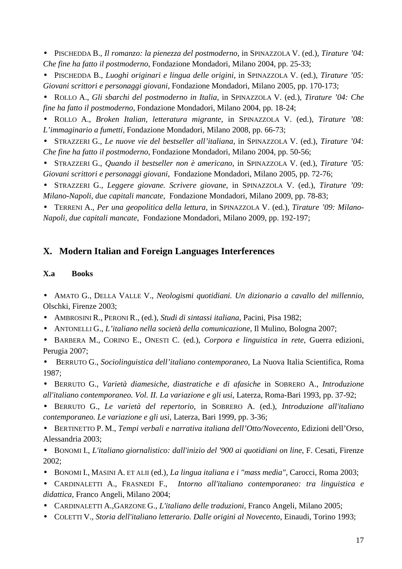• PISCHEDDA B., *Il romanzo: la pienezza del postmoderno*, in SPINAZZOLA V. (ed.), *Tirature '04: Che fine ha fatto il postmoderno*, Fondazione Mondadori, Milano 2004, pp. 25-33;

• PISCHEDDA B., *Luoghi originari e lingua delle origini*, in SPINAZZOLA V. (ed.), *Tirature '05: Giovani scrittori e personaggi giovani*, Fondazione Mondadori, Milano 2005, pp. 170-173;

• ROLLO A., *Gli sbarchi del postmoderno in Italia*, in SPINAZZOLA V. (ed.), *Tirature '04: Che fine ha fatto il postmoderno*, Fondazione Mondadori, Milano 2004, pp. 18-24;

• ROLLO A., *Broken Italian, letteratura migrante*, in SPINAZZOLA V. (ed.), *Tirature '08: L'immaginario a fumetti*, Fondazione Mondadori, Milano 2008, pp. 66-73;

• STRAZZERI G., *Le nuove vie del bestseller all'italiana*, in SPINAZZOLA V. (ed.), *Tirature '04: Che fine ha fatto il postmoderno*, Fondazione Mondadori, Milano 2004, pp. 50-56;

• STRAZZERI G., *Quando il bestseller non è americano*, in SPINAZZOLA V. (ed.), *Tirature '05: Giovani scrittori e personaggi giovani*, Fondazione Mondadori, Milano 2005, pp. 72-76;

• STRAZZERI G., *Leggere giovane. Scrivere giovane*, in SPINAZZOLA V. (ed.), *Tirature '09: Milano-Napoli, due capitali mancate*, Fondazione Mondadori, Milano 2009, pp. 78-83;

• TERRENI A., *Per una geopolitica della lettura*, in SPINAZZOLA V. (ed.), *Tirature '09: Milano-Napoli, due capitali mancate*, Fondazione Mondadori, Milano 2009, pp. 192-197;

## **X. Modern Italian and Foreign Languages Interferences**

#### **X.a Books**

• AMATO G., DELLA VALLE V., *Neologismi quotidiani. Un dizionario a cavallo del millennio*, Olschki, Firenze 2003;

- AMBROSINI R., PERONI R., (ed.), *Studi di sintassi italiana*, Pacini, Pisa 1982;
- ANTONELLI G., *L'italiano nella società della comunicazione*, Il Mulino, Bologna 2007;
- BARBERA M., CORINO E., ONESTI C. (ed.), *Corpora e linguistica in rete*, Guerra edizioni, Perugia 2007;

• BERRUTO G., *Sociolinguistica dell'italiano contemporaneo*, La Nuova Italia Scientifica, Roma 1987;

• BERRUTO G., *Varietà diamesiche, diastratiche e di afasiche* in SOBRERO A., *Introduzione all'italiano contemporaneo. Vol. II. La variazione e gli usi*, Laterza, Roma-Bari 1993, pp. 37-92;

• BERRUTO G., *Le varietà del repertorio*, in SOBRERO A. (ed.), *Introduzione all'italiano contemporaneo. Le variazione e gli usi*, Laterza, Bari 1999, pp. 3-36;

• BERTINETTO P. M., *Tempi verbali e narrativa italiana dell'Otto/Novecento*, Edizioni dell'Orso, Alessandria 2003;

• BONOMI I., *L'italiano giornalistico: dall'inizio del '900 ai quotidiani on line*, F. Cesati, Firenze 2002;

• BONOMI I., MASINI A. ET ALII (ed.), *La lingua italiana e i "mass media"*, Carocci, Roma 2003;

• CARDINALETTI A., FRASNEDI F., *Intorno all'italiano contemporaneo: tra linguistica e didattica*, Franco Angeli, Milano 2004;

- CARDINALETTI A.,GARZONE G., *L'italiano delle traduzioni*, Franco Angeli, Milano 2005;
- COLETTI V., *Storia dell'italiano letterario. Dalle origini al Novecento*, Einaudi, Torino 1993;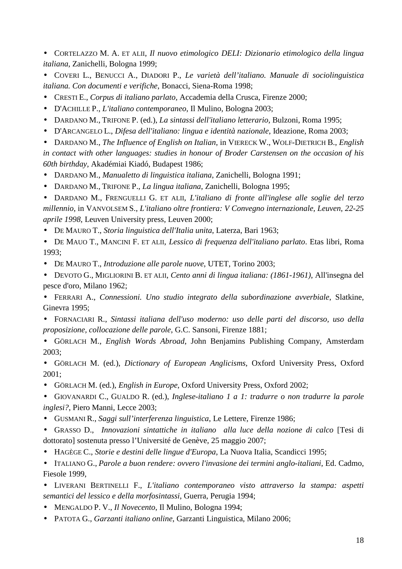• CORTELAZZO M. A. ET ALII, *Il nuovo etimologico DELI: Dizionario etimologico della lingua italiana*, Zanichelli, Bologna 1999;

• COVERI L., BENUCCI A., DIADORI P., *Le varietà dell'italiano. Manuale di sociolinguistica italiana. Con documenti e verifiche*, Bonacci, Siena-Roma 1998;

- CRESTI E., *Corpus di italiano parlato,* Accademia della Crusca, Firenze 2000;
- D'ACHILLE P., *L'italiano contemporaneo*, Il Mulino, Bologna 2003;
- DARDANO M., TRIFONE P. (ed.), *La sintassi dell'italiano letterario*, Bulzoni, Roma 1995;
- D'ARCANGELO L., *Difesa dell'italiano: lingua e identità nazionale*, Ideazione, Roma 2003;
- DARDANO M., *The Influence of English on Italian*, in VIERECK W., WOLF-DIETRICH B., *English*

*in contact with other languages: studies in honour of Broder Carstensen on the occasion of his 60th birthday*, Akadémiai Kiadó, Budapest 1986;

- DARDANO M., *Manualetto di linguistica italiana*, Zanichelli, Bologna 1991;
- DARDANO M., TRIFONE P., *La lingua italiana*, Zanichelli, Bologna 1995;

• DARDANO M., FRENGUELLI G. ET ALII, *L'italiano di fronte all'inglese alle soglie del terzo millennio*, in VANVOLSEM S., *L'italiano oltre frontiera: V Convegno internazionale, Leuven, 22-25 aprile 1998*, Leuven University press, Leuven 2000;

- DE MAURO T., *Storia linguistica dell'Italia unita*, Laterza, Bari 1963;
- DE MAUO T., MANCINI F. ET ALII, *Lessico di frequenza dell'italiano parlato*. Etas libri, Roma 1993;
- DE MAURO T., *Introduzione alle parole nuove*, UTET, Torino 2003;
- DEVOTO G., MIGLIORINI B. ET ALII, *Cento anni di lingua italiana: (1861-1961)*, All'insegna del pesce d'oro, Milano 1962;
- FERRARI A., *Connessioni. Uno studio integrato della subordinazione avverbiale*, Slatkine, Ginevra 1995;
- FORNACIARI R., *Sintassi italiana dell'uso moderno: uso delle parti del discorso, uso della proposizione, collocazione delle parole*, G.C. Sansoni, Firenze 1881;
- GÖRLACH M., *English Words Abroad*, John Benjamins Publishing Company, Amsterdam 2003;

• GÖRLACH M. (ed.), *Dictionary of European Anglicisms*, Oxford University Press, Oxford 2001;

• GÖRLACH M. (ed.), *English in Europe*, Oxford University Press, Oxford 2002;

• GIOVANARDI C., GUALDO R. (ed.), *Inglese-italiano 1 a 1: tradurre o non tradurre la parole inglesi?*, Piero Manni, Lecce 2003;

- GUSMANI R., *Saggi sull'interferenza linguistica*, Le Lettere, Firenze 1986;
- GRASSO D., *Innovazioni sintattiche in italiano alla luce della nozione di calco* [Tesi di dottorato] sostenuta presso l'Université de Genève, 25 maggio 2007;
- HAGÈGE C., *Storie e destini delle lingue d'Europa*, La Nuova Italia, Scandicci 1995;

• ITALIANO G., *Parole a buon rendere: ovvero l'invasione dei termini anglo-italiani*, Ed. Cadmo, Fiesole 1999,

• LIVERANI BERTINELLI F., *L'italiano contemporaneo visto attraverso la stampa: aspetti semantici del lessico e della morfosintassi*, Guerra, Perugia 1994;

- MENGALDO P. V., *Il Novecento*, Il Mulino, Bologna 1994;
- PATOTA G., *Garzanti italiano online*, Garzanti Linguistica, Milano 2006;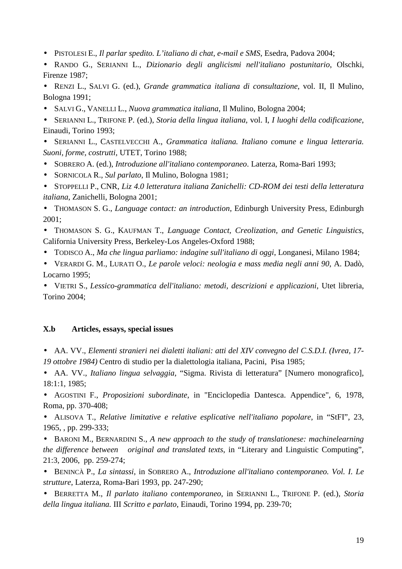- PISTOLESI E., *Il parlar spedito. L'italiano di chat, e-mail e SMS*, Esedra, Padova 2004;
- RANDO G., SERIANNI L., *Dizionario degli anglicismi nell'italiano postunitario*, Olschki, Firenze 1987;
- RENZI L., SALVI G. (ed.), *Grande grammatica italiana di consultazione*, vol. II, Il Mulino, Bologna 1991;
- SALVI G., VANELLI L., *Nuova grammatica italiana*, Il Mulino, Bologna 2004;
- SERIANNI L., TRIFONE P. (ed.), *Storia della lingua italiana*, vol. I, *I luoghi della codificazione*, Einaudi, Torino 1993;

• SERIANNI L., CASTELVECCHI A., *Grammatica italiana. Italiano comune e lingua letteraria. Suoni, forme, costrutti*, UTET, Torino 1988;

- SOBRERO A. (ed.), *Introduzione all'italiano contemporaneo*. Laterza, Roma-Bari 1993;
- SORNICOLA R., *Sul parlato*, Il Mulino, Bologna 1981;

• STOPPELLI P., CNR, *Liz 4.0 letteratura italiana Zanichelli: CD-ROM dei testi della letteratura italiana*, Zanichelli, Bologna 2001;

• THOMASON S. G., *Language contact: an introduction*, Edinburgh University Press, Edinburgh 2001;

• THOMASON S. G., KAUFMAN T., *Language Contact, Creolization, and Genetic Linguistics*, California University Press, Berkeley-Los Angeles-Oxford 1988;

- TODISCO A., *Ma che lingua parliamo: indagine sull'italiano di oggi*, Longanesi, Milano 1984;
- VERARDI G. M., LURATI O., *Le parole veloci: neologia e mass media negli anni 90*, A. Dadò, Locarno 1995;

• VIETRI S., *Lessico-grammatica dell'italiano: metodi, descrizioni e applicazioni*, Utet libreria, Torino 2004;

### **X.b Articles, essays, special issues**

- AA. VV., *Elementi stranieri nei dialetti italiani: atti del XIV convegno del C.S.D.I. (Ivrea, 17- 19 ottobre 1984)* Centro di studio per la dialettologia italiana, Pacini, Pisa 1985;
- AA. VV., *Italiano lingua selvaggia*, "Sigma. Rivista di letteratura" [Numero monografico], 18:1:1, 1985;

• AGOSTINI F., *Proposizioni subordinate*, in "Enciclopedia Dantesca. Appendice", 6, 1978, Roma, pp. 370-408;

• ALISOVA T., *Relative limitative e relative esplicative nell'italiano popolare*, in "StFI", 23, 1965, , pp. 299-333;

• BARONI M., BERNARDINI S., *A new approach to the study of translationese: machinelearning the difference between original and translated texts*, in "Literary and Linguistic Computing", 21:3, 2006, pp. 259-274;

• BENINCÀ P., *La sintassi*, in SOBRERO A., *Introduzione all'italiano contemporaneo. Vol. I. Le strutture*, Laterza, Roma-Bari 1993, pp. 247-290;

• BERRETTA M., *Il parlato italiano contemporaneo*, in SERIANNI L., TRIFONE P. (ed.), *Storia della lingua italiana.* III *Scritto e parlato*, Einaudi, Torino 1994, pp. 239-70;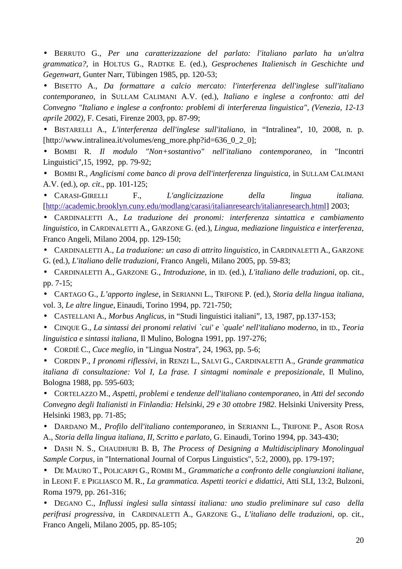• BERRUTO G., *Per una caratterizzazione del parlato: l'italiano parlato ha un'altra grammatica?*, in HOLTUS G., RADTKE E. (ed.), *Gesprochenes Italienisch in Geschichte und Gegenwart*, Gunter Narr, Tübingen 1985, pp. 120-53;

• BISETTO A., *Da formattare a calcio mercato: l'interferenza dell'inglese sull'italiano contemporaneo*, in SULLAM CALIMANI A.V. (ed.), *Italiano e inglese a confronto: atti del Convegno "Italiano e inglese a confronto: problemi di interferenza linguistica", (Venezia, 12-13 aprile 2002)*, F. Cesati, Firenze 2003, pp. 87-99;

• BISTARELLI A., *L'interferenza dell'inglese sull'italiano*, in "Intralinea", 10, 2008, n. p. [http://www.intralinea.it/volumes/eng\_more.php?id=636\_0\_2\_0];

• BOMBI R. *Il modulo "Non+sostantivo" nell'italiano contemporaneo*, in "Incontri Linguistici",15, 1992, pp. 79-92;

• BOMBI R., *Anglicismi come banco di prova dell'interferenza linguistica*, in SULLAM CALIMANI A.V. (ed.), *op. cit*., pp. 101-125;

• CARASI-GIRELLI F., *L'anglicizzazione della lingua italiana.*  [http://academic.brooklyn.cuny.edu/modlang/carasi/italianresearch/italianresearch.html] 2003;

• CARDINALETTI A., *La traduzione dei pronomi: interferenza sintattica e cambiamento linguistico*, in CARDINALETTI A., GARZONE G. (ed.), *Lingua, mediazione linguistica e interferenza*, Franco Angeli, Milano 2004, pp. 129-150;

• CARDINALETTI A., *La traduzione: un caso di attrito linguistico,* in CARDINALETTI A., GARZONE G. (ed.), *L'italiano delle traduzioni*, Franco Angeli, Milano 2005, pp. 59-83;

• CARDINALETTI A., GARZONE G., *Introduzione*, in ID. (ed.), *L'italiano delle traduzioni*, op. cit., pp. 7-15;

• CARTAGO G., *L'apporto inglese*, in SERIANNI L., TRIFONE P. (ed.), *Storia della lingua italiana*, vol. 3, *Le altre lingue*, Einaudi, Torino 1994, pp. 721-750;

• CASTELLANI A., *Morbus Anglicus*, in "Studi linguistici italiani", 13, 1987, pp.137-153;

• CINQUE G., *La sintassi dei pronomi relativi `cui' e `quale' nell'italiano moderno*, in ID., *Teoria linguistica e sintassi italiana*, Il Mulino, Bologna 1991, pp. 197-276;

• CORDIÉ C., *Cuce meglio*, in "Lingua Nostra", 24, 1963, pp. 5-6;

• CORDIN P., *I pronomi riflessivi*, in RENZI L., SALVI G., CARDINALETTI A., *Grande grammatica italiana di consultazione: Vol I, La frase. I sintagmi nominale e preposizionale*, Il Mulino, Bologna 1988, pp. 595-603;

• CORTELAZZO M., *Aspetti, problemi e tendenze dell'italiano contemporaneo*, in *Atti del secondo Convegno degli Italianisti in Finlandia: Helsinki, 29 e 30 ottobre 1982*. Helsinki University Press, Helsinki 1983, pp. 71-85;

• DARDANO M., *Profilo dell'italiano contemporaneo*, in SERIANNI L., TRIFONE P., ASOR ROSA A., *Storia della lingua italiana, II, Scritto e parlato*, G. Einaudi, Torino 1994, pp. 343-430;

• DASH N. S., CHAUDHURI B. B, *The Process of Designing a Multidisciplinary Monolingual Sample Corpus*, in "International Journal of Corpus Linguistics", 5:2, 2000), pp. 179-197;

• DE MAURO T., POLICARPI G., ROMBI M., *Grammatiche a confronto delle congiunzioni italiane*, in LEONI F. E PIGLIASCO M. R., *La grammatica. Aspetti teorici e didattici*, Atti SLI, 13:2, Bulzoni, Roma 1979, pp. 261-316;

• DEGANO C., *Influssi inglesi sulla sintassi italiana: uno studio preliminare sul caso della perifrasi progressiva*, in CARDINALETTI A., GARZONE G., *L'italiano delle traduzioni*, op. cit., Franco Angeli, Milano 2005, pp. 85-105;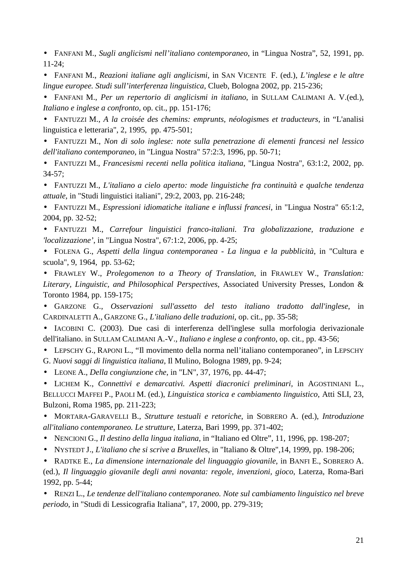• FANFANI M., *Sugli anglicismi nell'italiano contemporaneo*, in "Lingua Nostra", 52, 1991, pp. 11-24;

• FANFANI M., *Reazioni italiane agli anglicismi*, in SAN VICENTE F. (ed.), *L'inglese e le altre lingue europee. Studi sull'interferenza linguistica*, Clueb, Bologna 2002, pp. 215-236;

• FANFANI M., *Per un repertorio di anglicismi in italiano*, in SULLAM CALIMANI A. V.(ed.), *Italiano e inglese a confronto,* op. cit., pp. 151-176;

• FANTUZZI M., *A la croisée des chemins: emprunts, néologismes et traducteurs*, in "L'analisi linguistica e letteraria", 2, 1995, pp. 475-501;

• FANTUZZI M., *Non di solo inglese: note sulla penetrazione di elementi francesi nel lessico dell'italiano contemporaneo*, in "Lingua Nostra" 57:2:3, 1996, pp. 50-71;

• FANTUZZI M., *Francesismi recenti nella politica italiana*, "Lingua Nostra", 63:1:2, 2002, pp. 34-57;

• FANTUZZI M., *L'italiano a cielo aperto: mode linguistiche fra continuità e qualche tendenza attuale*, in "Studi linguistici italiani", 29:2, 2003, pp. 216-248;

• FANTUZZI M., *Espressioni idiomatiche italiane e influssi francesi*, in "Lingua Nostra" 65:1:2, 2004, pp. 32-52;

• FANTUZZI M., *Carrefour linguistici franco-italiani. Tra globalizzazione, traduzione e 'localizzazione'*, in "Lingua Nostra", 67:1:2, 2006, pp. 4-25;

• FOLENA G., *Aspetti della lingua contemporanea - La lingua e la pubblicità*, in "Cultura e scuola", 9, 1964, pp. 53-62;

• FRAWLEY W., *Prolegomenon to a Theory of Translation*, in FRAWLEY W., *Translation: Literary, Linguistic, and Philosophical Perspectives*, Associated University Presses, London & Toronto 1984, pp. 159-175;

• GARZONE G., *Osservazioni sull'assetto del testo italiano tradotto dall'inglese*, in CARDINALETTI A., GARZONE G., *L'italiano delle traduzioni*, op. cit., pp. 35-58;

• IACOBINI C. (2003). Due casi di interferenza dell'inglese sulla morfologia derivazionale dell'italiano. in SULLAM CALIMANI A.-V., *Italiano e inglese a confronto*, op. cit., pp. 43-56;

• LEPSCHY G., RAPONI L., "Il movimento della norma nell'italiano contemporaneo", in LEPSCHY G. *Nuovi saggi di linguistica italiana*, Il Mulino, Bologna 1989, pp. 9-24;

• LEONE A., *Della congiunzione che*, in "LN", 37, 1976, pp. 44-47;

• LICHEM K., *Connettivi e demarcativi. Aspetti diacronici preliminari,* in AGOSTINIANI L., BELLUCCI MAFFEI P., PAOLI M. (ed.), *Linguistica storica e cambiamento linguistico*, Atti SLI, 23, Bulzoni, Roma 1985, pp. 211-223;

• MORTARA-GARAVELLI B., *Strutture testuali e retoriche*, in SOBRERO A. (ed.), *Introduzione all'italiano contemporaneo. Le strutture*, Laterza, Bari 1999, pp. 371-402;

• NENCIONI G., *Il destino della lingua italiana*, in "Italiano ed Oltre", 11, 1996, pp. 198-207;

• NYSTEDT J., *L'italiano che si scrive a Bruxelles*, in "Italiano & Oltre",14, 1999, pp. 198-206;

• RADTKE E., *La dimensione internazionale del linguaggio giovanile*, in BANFI E., SOBRERO A. (ed.), *Il linguaggio giovanile degli anni novanta: regole, invenzioni, gioco*, Laterza, Roma-Bari 1992, pp. 5-44;

• RENZI L., *Le tendenze dell'italiano contemporaneo. Note sul cambiamento linguistico nel breve periodo*, in "Studi di Lessicografia Italiana", 17, 2000, pp. 279-319;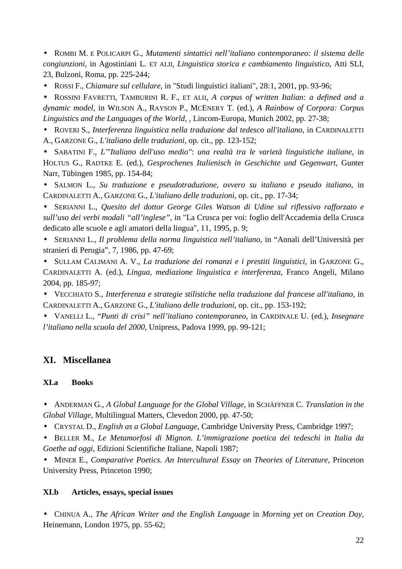• ROMBI M. E POLICARPI G., *Mutamenti sintattici nell'italiano contemporaneo: il sistema delle congiunzioni*, in Agostiniani L. ET ALII, *Linguistica storica e cambiamento linguistico*, Atti SLI, 23, Bulzoni, Roma, pp. 225-244;

• ROSSI F., *Chiamare sul cellulare*, in "Studi linguistici italiani", 28:1, 2001, pp. 93-96;

• ROSSINI FAVRETTI, TAMBURINI R. F., ET ALII, *A corpus of written Italian: a defined and a dynamic model*, in WILSON A., RAYSON P., MCENERY T. (ed.), *A Rainbow of Corpora: Corpus Linguistics and the Languages of the World*, , Lincom-Europa, Munich 2002, pp. 27-38;

• ROVERI S., *Interferenza linguistica nella traduzione dal tedesco all'italiano*, in CARDINALETTI A., GARZONE G., *L'italiano delle traduzioni*, op. cit., pp. 123-152;

• SABATINI F., *L'"Italiano dell'uso medio"*: *una realtà tra le varietà linguistiche italiane*, in HOLTUS G., RADTKE E. (ed.), *Gesprochenes Italienisch in Geschichte und Gegenwart*, Gunter Narr, Tübingen 1985, pp. 154-84;

• SALMON L., *Su traduzione e pseudotraduzione, ovvero su italiano e pseudo italiano*, in CARDINALETTI A., GARZONE G., *L'italiano delle traduzioni*, op. cit., pp. 17-34;

• SERIANNI L., *Quesito del dottor George Giles Watson di Udine sul riflessivo rafforzato e sull'uso dei verbi modali "all'inglese"*, in "La Crusca per voi: foglio dell'Accademia della Crusca dedicato alle scuole e agli amatori della lingua", 11, 1995, p. 9;

• SERIANNI L., *Il problema della norma linguistica nell'italiano*, in "Annali dell'Università per stranieri di Perugia", 7, 1986, pp. 47-69;

• SULLAM CALIMANI A. V., *La traduzione dei romanzi e i prestiti linguistici*, in GARZONE G., CARDINALETTI A. (ed.), *Lingua, mediazione linguistica e interferenza*, Franco Angeli, Milano 2004, pp. 185-97;

• VECCHIATO S., *Interferenza e strategie stilistiche nella traduzione dal francese all'italiano*, in CARDINALETTI A., GARZONE G., *L'italiano delle traduzioni*, op. cit., pp. 153-192;

• VANELLI L., "*Punti di crisi" nell'italiano contemporaneo*, in CARDINALE U. (ed.), *Insegnare l'italiano nella scuola del 2000*, Unipress, Padova 1999, pp. 99-121;

# **XI. Miscellanea**

## **XI.a Books**

• ANDERMAN G., *A Global Language for the Global Village*, in SCHÄFFNER C. *Translation in the Global Village*, Multilingual Matters, Clevedon 2000, pp. 47-50;

• CRYSTAL D., *English as a Global Language*, Cambridge University Press, Cambridge 1997;

• BELLER M., *Le Metamorfosi di Mignon. L'immigrazione poetica dei tedeschi in Italia da Goethe ad oggi*, Edizioni Scientifiche Italiane, Napoli 1987;

• MINER E., *Comparative Poetics. An Intercultural Essay on Theories of Literature*, Princeton University Press, Princeton 1990;

## **XI.b Articles, essays, special issues**

• CHINUA A., *The African Writer and the English Language* in *Morning yet on Creation Day*, Heinemann, London 1975, pp. 55-62;